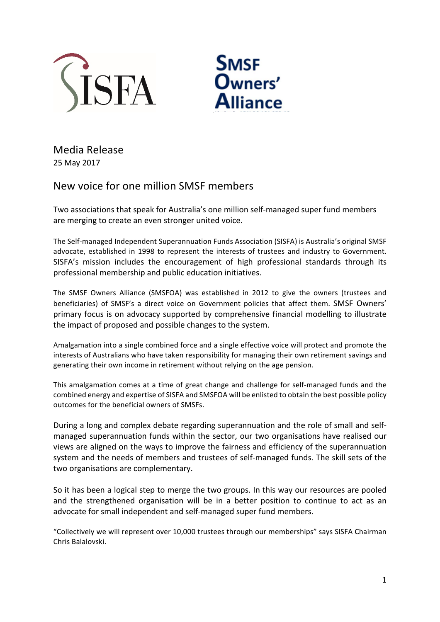



Media Release 25 May 2017

## New voice for one million SMSF members

Two associations that speak for Australia's one million self-managed super fund members are merging to create an even stronger united voice.

The Self-managed Independent Superannuation Funds Association (SISFA) is Australia's original SMSF advocate, established in 1998 to represent the interests of trustees and industry to Government. SISFA's mission includes the encouragement of high professional standards through its professional membership and public education initiatives.

The SMSF Owners Alliance (SMSFOA) was established in 2012 to give the owners (trustees and beneficiaries) of SMSF's a direct voice on Government policies that affect them. SMSF Owners' primary focus is on advocacy supported by comprehensive financial modelling to illustrate the impact of proposed and possible changes to the system.

Amalgamation into a single combined force and a single effective voice will protect and promote the interests of Australians who have taken responsibility for managing their own retirement savings and generating their own income in retirement without relying on the age pension.

This amalgamation comes at a time of great change and challenge for self-managed funds and the combined energy and expertise of SISFA and SMSFOA will be enlisted to obtain the best possible policy outcomes for the beneficial owners of SMSFs.

During a long and complex debate regarding superannuation and the role of small and selfmanaged superannuation funds within the sector, our two organisations have realised our views are aligned on the ways to improve the fairness and efficiency of the superannuation system and the needs of members and trustees of self-managed funds. The skill sets of the two organisations are complementary.

So it has been a logical step to merge the two groups. In this way our resources are pooled and the strengthened organisation will be in a better position to continue to act as an advocate for small independent and self-managed super fund members.

"Collectively we will represent over 10,000 trustees through our memberships" says SISFA Chairman Chris Balalovski.